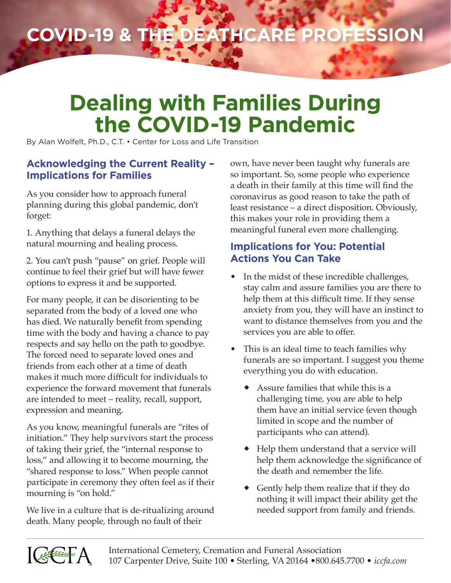## **COVID-19 & the Deathcare Profession**

## **Dealing with Families During the COVID-19 Pandemic**

By Alan Wolfelt, Ph.D., C.T. • Center for Loss and Life Transition

## **Acknowledging the Current Reality – Implications for Families**

As you consider how to approach funeral planning during this global pandemic, don't forget:

1. Anything that delays a funeral delays the natural mourning and healing process.

2. You can't push "pause" on grief. People will continue to feel their grief but will have fewer options to express it and be supported.

For many people, it can be disorienting to be separated from the body of a loved one who has died. We naturally benefit from spending time with the body and having a chance to pay respects and say hello on the path to goodbye. The forced need to separate loved ones and friends from each other at a time of death makes it much more difficult for individuals to experience the forward movement that funerals are intended to meet – reality, recall, support, expression and meaning.

As you know, meaningful funerals are "rites of initiation." They help survivors start the process of taking their grief, the "internal response to loss," and allowing it to become mourning, the "shared response to loss." When people cannot participate in ceremony they often feel as if their mourning is "on hold."

We live in a culture that is de-ritualizing around death. Many people, through no fault of their

own, have never been taught why funerals are so important. So, some people who experience a death in their family at this time will find the coronavirus as good reason to take the path of least resistance – a direct disposition. Obviously, this makes your role in providing them a meaningful funeral even more challenging.

## **Implications for You: Potential Actions You Can Take**

- In the midst of these incredible challenges, stay calm and assure families you are there to help them at this difficult time. If they sense anxiety from you, they will have an instinct to want to distance themselves from you and the services you are able to offer.
- This is an ideal time to teach families why funerals are so important. I suggest you theme everything you do with education.
	- Assure families that while this is a challenging time, you are able to help them have an initial service (even though limited in scope and the number of participants who can attend).
	- ◆ Help them understand that a service will help them acknowledge the significance of the death and remember the life.
	- Gently help them realize that if they do nothing it will impact their ability get the needed support from family and friends.